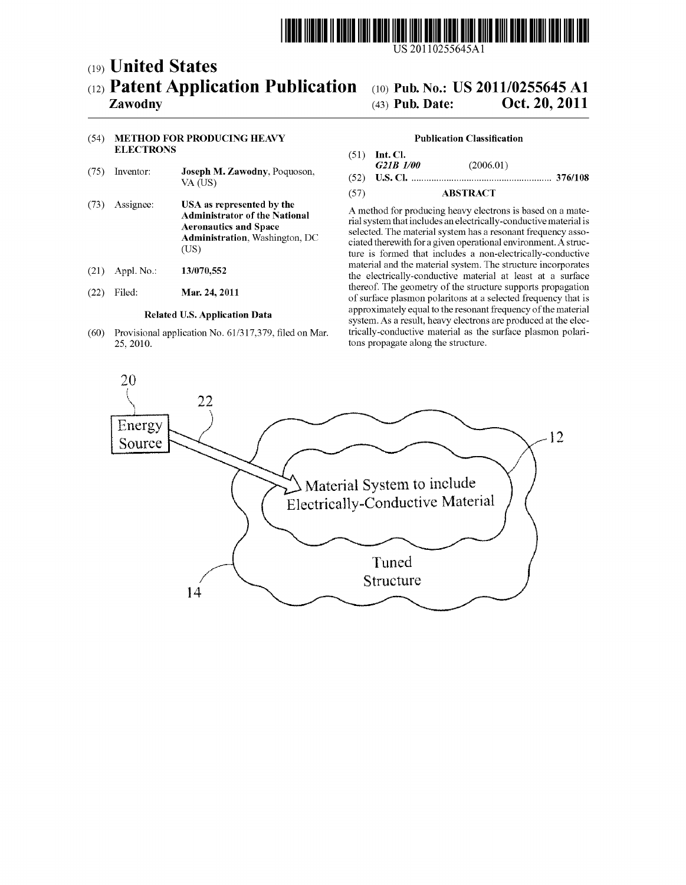

# (19) **United States**

## (12) **Patent Application Publication (10) Pub. No.: US 2011/0255645 Al Zawodny** (43) **Pub. Date: Oct. 20, 2011**

### (54) METHOD FOR PRODUCING HEAVY Publication Classification **ELECTRONS**

- (75) Inventor: Joseph M. Zawodny, Poquoson, VA (US)
- (73) Assignee: USA as represented by the Administrator of the National Aeronautics and Space Administration, Washington, DC (US)
- (21) Appl. No.: 13/070,552
- (22) Filed: Mar. 24, 2011

## Related U.S. Application Data

(60) Provisional application No. 61/317,379, filed on Mar. 25, 2010.

(51) Int. Cl. *G21B 1/00* (2006.01) (52) U.S. Cl. 376/108

#### (57) ABSTRACT

A method for producing heavy electrons is based on a material system that includes an electrically-conductive material is selected. The material system has a resonant frequency associated therewith for a given operational environment. A structure is formed that includes a non-electrically-conductive material and the material system. The structure incorporates the electrically-conductive material at least at a surface thereof. The geometry of the structure supports propagation of surface plasmon polaritons at a selected frequency that is approximately equal to the resonant frequency of the material system. As a result, heavy electrons are produced at the electrically-conductive material as the surface plasmon polaritons propagate along the structure.

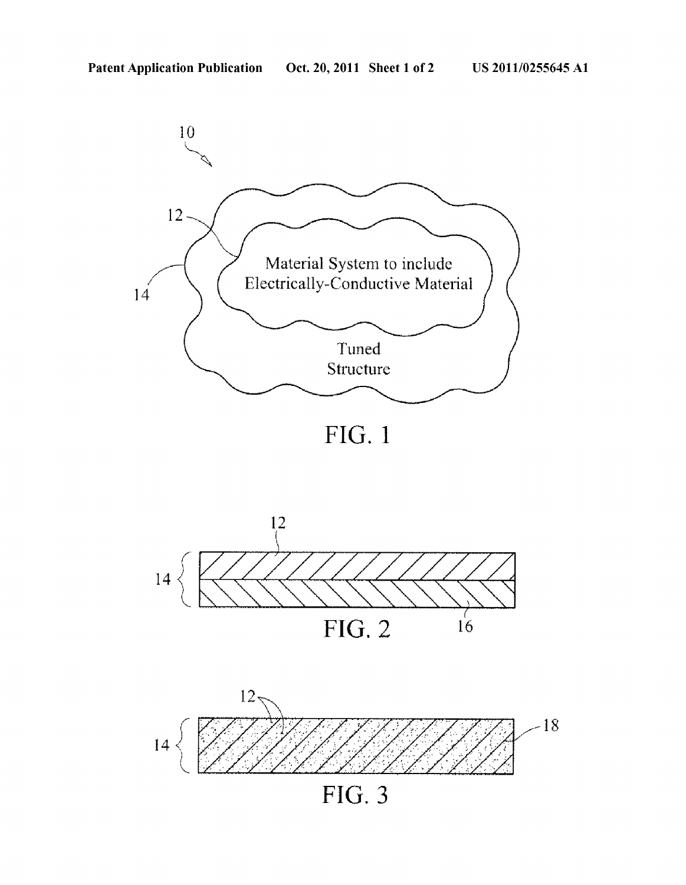

FIG. 3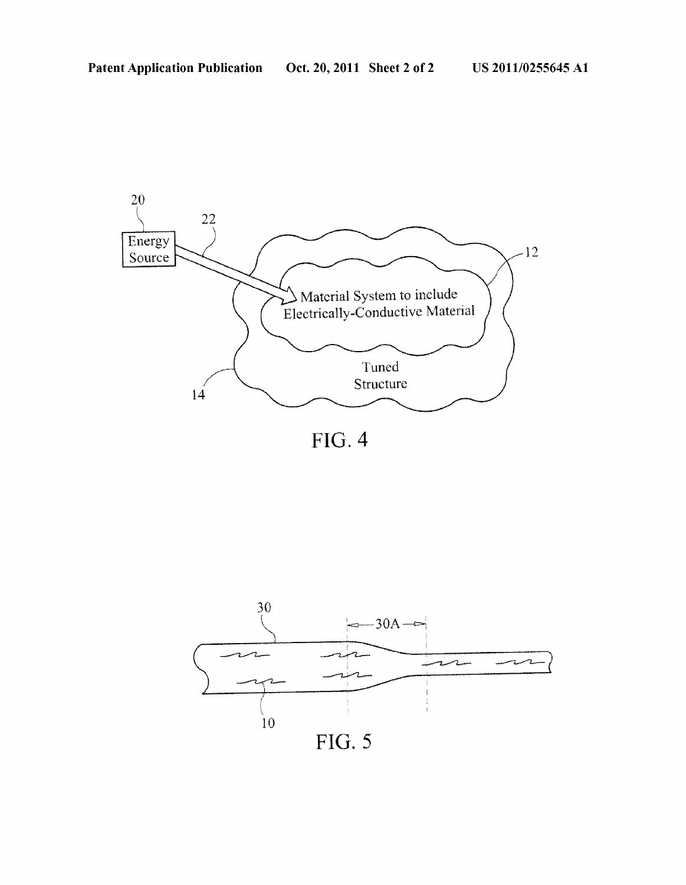

FIG. 4

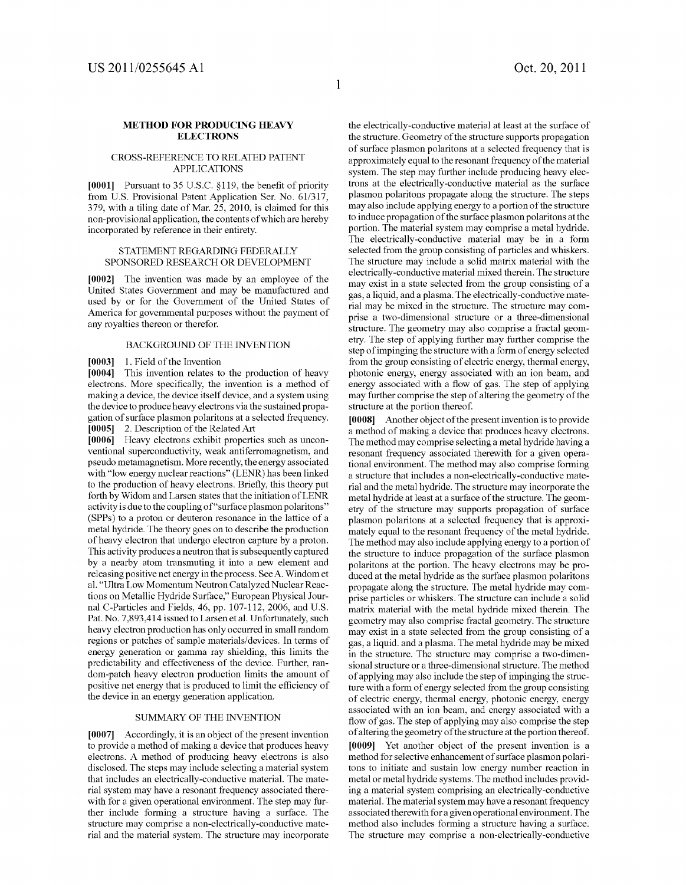#### **METHOD FOR PRODUCING HEAVY ELECTRONS**

### CROSS-REFERENCE TO RELATED PATENT APPLICATIONS

**[0001]** Pursuant to 35 U.S.C. §119, the benefit of priority from U.S. Provisional Patent Application Ser. No. 61/317, 379, with a tiling date of Mar. 25, 2010, is claimed for this non-provisional application, the contents of which are hereby incorporated by reference in their entirety.

#### STATEMENT REGARDING FEDERALLY SPONSORED RESEARCH OR DEVELOPMENT

**[0002]** The invention was made by an employee of the United States Government and may be manufactured and used by or for the Government of the United States of America for governmental purposes without the payment of any royalties thereon or therefor.

#### BACKGROUND OF THE INVENTION

#### **[0003]** 1. Field of the Invention

**[0004]** This invention relates to the production of heavy electrons. More specifically, the invention is a method of making a device, the device itself device, and a system using the device to produce heavy electrons via the sustained propagation of surface plasmon polaritons at a selected frequency. **[0005]** 2. Description of the Related Art

**[0006]** Heavy electrons exhibit properties such as unconventional superconductivity, weak antiferromagnetism, and pseudo metamagnetism. More recently, the energy associated with "low energy nuclear reactions" (LENR) has been linked to the production of heavy electrons. Briefly, this theory put forth by Widom and Larsen states that the initiation of LENR activity is due to the coupling of "surface plasmon polaritons" (SPPs) to a proton or deuteron resonance in the lattice of a metal hydride. The theory goes on to describe the production of heavy electron that undergo electron capture by a proton. This activity produces a neutron that is subsequently captured by a nearby atom transmuting it into a new element and releasing positive net energy in the process. See A. Windom et al. "Ultra Low Momentum Neutron Catalyzed Nuclear Reactions on Metallic Hydride Surface," European Physical Journal C-Particles and Fields, 46, pp. 107-112, 2006, and U.S. Pat. No. 7,893,414 issued to Larsen et al. Unfortunately, such heavy electron production has only occurred in small random regions or patches of sample materials/devices. In terms of energy generation or gamma ray shielding, this limits the predictability and effectiveness of the device. Further, random-patch heavy electron production limits the amount of positive net energy that is produced to limit the efficiency of the device in an energy generation application.

#### SUMMARY OF THE INVENTION

**[0007]** Accordingly, it is an object of the present invention to provide a method of making a device that produces heavy electrons. A method of producing heavy electrons is also disclosed. The steps may include selecting a material system that includes an electrically-conductive material. The material system may have a resonant frequency associated therewith for a given operational environment. The step may further include forming a structure having a surface. The structure may comprise a non-electrically-conductive material and the material system. The structure may incorporate the electrically-conductive material at least at the surface of the structure. Geometry of the structure supports propagation of surface plasmon polaritons at a selected frequency that is approximately equal to the resonant frequency of the material system. The step may further include producing heavy electrons at the electrically-conductive material as the surface plasmon polaritons propagate along the structure. The steps may also include applying energy to a portion of the structure to induce propagation of the surface plasmon polaritons at the portion. The material system may comprise a metal hydride. The electrically-conductive material may be in a form selected from the group consisting of particles and whiskers. The structure may include a solid matrix material with the electrically-conductive material mixed therein. The structure may exist in a state selected from the group consisting of a gas, a liquid, and a plasma. The electrically-conductive material may be mixed in the structure. The structure may comprise a two-dimensional structure or a three-dimensional structure. The geometry may also comprise a fractal geometry. The step of applying further may further comprise the step of impinging the structure with a form of energy selected from the group consisting of electric energy, thermal energy, photonic energy, energy associated with an ion beam, and energy associated with a flow of gas. The step of applying may further comprise the step of altering the geometry of the structure at the portion thereof

**[0008]** Another object of the present invention is to provide a method of making a device that produces heavy electrons. The method may comprise selecting a metal hydride having a resonant frequency associated therewith for a given operational environment. The method may also comprise forming a structure that includes a non-electrically-conductive material and the metal hydride. The structure may incorporate the metal hydride at least at a surface of the structure. The geometry of the structure may supports propagation of surface plasmon polaritons at a selected frequency that is approximately equal to the resonant frequency of the metal hydride. The method may also include applying energy to a portion of the structure to induce propagation of the surface plasmon polaritons at the portion. The heavy electrons may be produced at the metal hydride as the surface plasmon polaritons propagate along the structure. The metal hydride may comprise particles or whiskers. The structure can include a solid matrix material with the metal hydride mixed therein. The geometry may also comprise fractal geometry. The structure may exist in a state selected from the group consisting of a gas, a liquid. and a plasma. The metal hydride may be mixed in the structure. The structure may comprise a two-dimensional structure or a three-dimensional structure. The method of applying may also include the step of impinging the structure with a form of energy selected from the group consisting of electric energy, thermal energy, photonic energy, energy associated with an ion beam, and energy associated with a flow of gas. The step of applying may also comprise the step of altering the geometry of the structure at the portion thereof.

**[0009]** Yet another object of the present invention is a method for selective enhancement of surface plasmon polaritons to initiate and sustain low energy number reaction in metal or metal hydride systems. The method includes providing a material system comprising an electrically-conductive material. The material system may have a resonant frequency associated therewith for a given operational environment. The method also includes forming a structure having a surface. The structure may comprise a non-electrically-conductive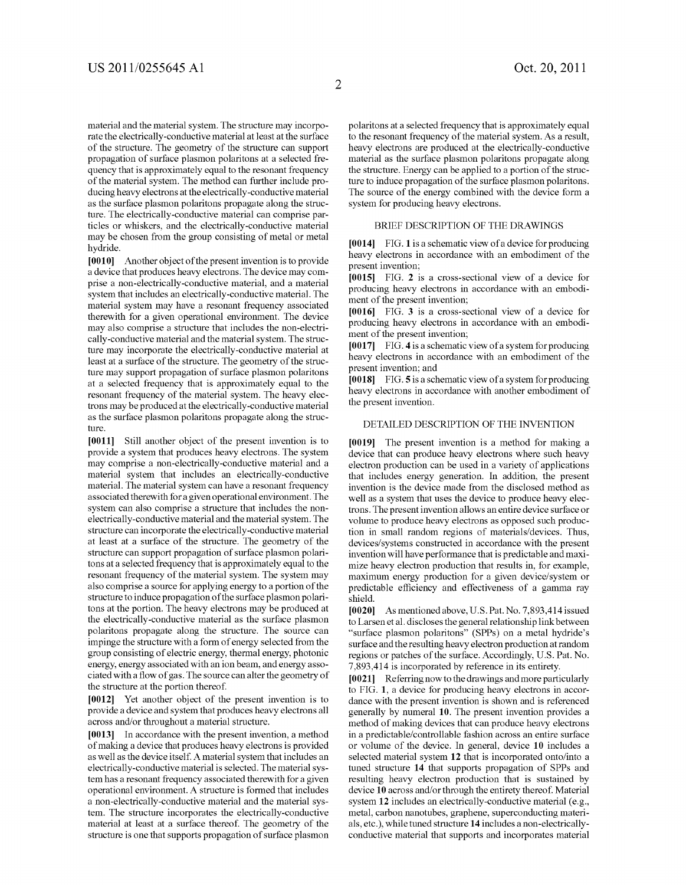material and the material system. The structure may incorporate the electrically-conductive material at least at the surface of the structure. The geometry of the structure can support propagation of surface plasmon polaritons at a selected frequency that is approximately equal to the resonant frequency of the material system. The method can further include producing heavy electrons at the electrically-conductive material as the surface plasmon polaritons propagate along the structure. The electrically-conductive material can comprise particles or whiskers, and the electrically-conductive material may be chosen from the group consisting of metal or metal hydride.

**[0010]** Another object of the present invention is to provide a device that produces heavy electrons. The device may comprise a non-electrically-conductive material, and a material system that includes an electrically-conductive material. The material system may have a resonant frequency associated therewith for a given operational environment. The device may also comprise a structure that includes the non-electrically-conductive material and the material system. The structure may incorporate the electrically-conductive material at least at a surface of the structure. The geometry of the structure may support propagation of surface plasmon polaritons at a selected frequency that is approximately equal to the resonant frequency of the material system. The heavy electrons may be produced at the electrically-conductive material as the surface plasmon polaritons propagate along the structure.

**[0011]** Still another object of the present invention is to provide a system that produces heavy electrons. The system may comprise a non-electrically-conductive material and a material system that includes an electrically-conductive material. The material system can have a resonant frequency associated therewith for a given operational environment. The system can also comprise a structure that includes the nonelectrically-conductive material and the material system. The structure can incorporate the electrically-conductive material at least at a surface of the structure. The geometry of the structure can support propagation of surface plasmon polaritons at a selected frequency that is approximately equal to the resonant frequency of the material system. The system may also comprise a source for applying energy to a portion of the structure to induce propagation of the surface plasmon polaritons at the portion. The heavy electrons may be produced at the electrically-conductive material as the surface plasmon polaritons propagate along the structure. The source can impinge the structure with a form of energy selected from the group consisting of electric energy, thermal energy, photonic energy, energy associated with an ion beam, and energy associated with a flow of gas. The source can alter the geometry of the structure at the portion thereof

**[0012]** Yet another object of the present invention is to provide a device and system that produces heavy electrons all across and/or throughout a material structure.

**[0013]** In accordance with the present invention, a method of making a device that produces heavy electrons is provided as well as the device itself. A material system that includes an electrically-conductive material is selected. The material system has a resonant frequency associated therewith for a given operational environment. A structure is formed that includes a non-electrically-conductive material and the material system. The structure incorporates the electrically-conductive material at least at a surface thereof. The geometry of the structure is one that supports propagation of surface plasmon polaritons at a selected frequency that is approximately equal to the resonant frequency of the material system. As a result, heavy electrons are produced at the electrically-conductive material as the surface plasmon polaritons propagate along the structure. Energy can be applied to a portion of the structure to induce propagation of the surface plasmon polaritons. The source of the energy combined with the device form a system for producing heavy electrons.

### BRIEF DESCRIPTION OF THE DRAWINGS

**[0014]** FIG. 1 is a schematic view of a device for producing heavy electrons in accordance with an embodiment of the present invention;

**[0015]** FIG. **2** is a cross-sectional view of a device for producing heavy electrons in accordance with an embodiment of the present invention;

**[0016]** FIG. **3** is a cross-sectional view of a device for producing heavy electrons in accordance with an embodiment of the present invention;

**[0017]** FIG. **4** is a schematic view of a system for producing heavy electrons in accordance with an embodiment of the present invention; and

**[0018]** FIG. **5** is a schematic view of a system for producing heavy electrons in accordance with another embodiment of the present invention.

### DETAILED DESCRIPTION OF THE INVENTION

**[0019]** The present invention is a method for making a device that can produce heavy electrons where such heavy electron production can be used in a variety of applications that includes energy generation. In addition, the present invention is the device made from the disclosed method as well as a system that uses the device to produce heavy electrons. The present invention allows an entire device surface or volume to produce heavy electrons as opposed such production in small random regions of materials/devices. Thus, devices/systems constructed in accordance with the present invention will have performance that is predictable and maximize heavy electron production that results in, for example, maximum energy production for a given device/system or predictable efficiency and effectiveness of a gamma ray shield.

**[0020]** As mentioned above, U.S. Pat. No. 7,893,414 issued to Larsen et al. discloses the general relationship link between "surface plasmon polaritons" (SPPs) on a metal hydride's surface and the resulting heavy electron production at random regions or patches of the surface. Accordingly, U.S. Pat. No. 7,893,414 is incorporated by reference in its entirety.

**[0021]** Referring now to the drawings and more particularly to FIG. **1,** a device for producing heavy electrons in accordance with the present invention is shown and is referenced generally by numeral **10.** The present invention provides a method of making devices that can produce heavy electrons in a predictable/controllable fashion across an entire surface or volume of the device. In general, device **10** includes a selected material system **12** that is incorporated onto/into a tuned structure **14** that supports propagation of SPPs and resulting heavy electron production that is sustained by device **10** across and/or through the entirety thereof. Material system **12** includes an electrically-conductive material (e.g., metal, carbon nanotubes, graphene, superconducting materials, etc.), while tuned structure **14** includes a non-electricallyconductive material that supports and incorporates material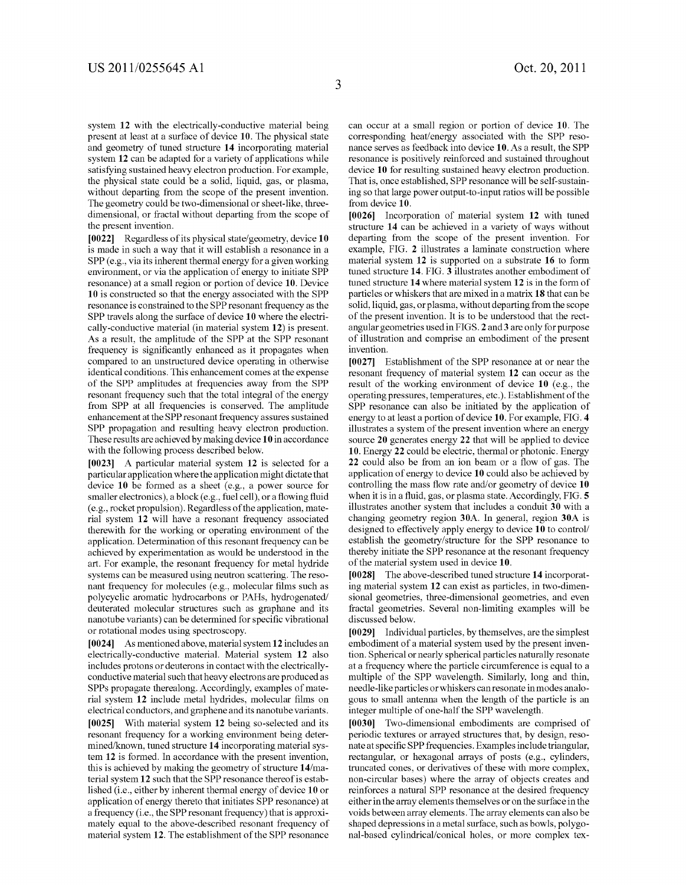system 12 with the electrically-conductive material being present at least at a surface of device 10. The physical state and geometry of tuned structure 14 incorporating material system 12 can be adapted for a variety of applications while satisfying sustained heavy electron production. For example, the physical state could be a solid, liquid, gas, or plasma, without departing from the scope of the present invention. The geometry could be two-dimensional or sheet-like, threedimensional, or fractal without departing from the scope of the present invention.

[0022] Regardless of its physical state/geometry, device 10 is made in such a way that it will establish a resonance in a SPP (e.g., via its inherent thermal energy for a given working environment, or via the application of energy to initiate SPP resonance) at a small region or portion of device 10. Device 10 is constructed so that the energy associated with the SPP resonance is constrained to the SPP resonant frequency as the SPP travels along the surface of device 10 where the electrically-conductive material (in material system 12) is present. As a result, the amplitude of the SPP at the SPP resonant frequency is significantly enhanced as it propagates when compared to an unstructured device operating in otherwise identical conditions. This enhancement comes at the expense of the SPP amplitudes at frequencies away from the SPP resonant frequency such that the total integral of the energy from SPP at all frequencies is conserved. The amplitude enhancement at the SPP resonant frequency assures sustained SPP propagation and resulting heavy electron production. These results are achieved by making device 10 in accordance with the following process described below.

[0023] A particular material system 12 is selected for a particular application where the application might dictate that device 10 be formed as a sheet (e.g., a power source for smaller electronics), a block (e.g., fuel cell), or a flowing fluid (e.g., rocket propulsion). Regardless of the application, material system 12 will have a resonant frequency associated therewith for the working or operating environment of the application. Determination of this resonant frequency can be achieved by experimentation as would be understood in the art. For example, the resonant frequency for metal hydride systems can be measured using neutron scattering. The resonant frequency for molecules (e.g., molecular films such as polycyclic aromatic hydrocarbons or PAHs, hydrogenated/ deuterated molecular structures such as graphane and its nanotube variants) can be determined for specific vibrational or rotational modes using spectroscopy.

[0024] As mentioned above, material system 12 includes an electrically-conductive material. Material system 12 also includes protons or deuterons in contact with the electricallyconductive material such that heavy electrons are produced as SPPs propagate therealong. Accordingly, examples of material system 12 include metal hydrides, molecular films on electrical conductors, and graphene and its nanotube variants.

[0025] With material system 12 being so-selected and its resonant frequency for a working environment being determined/known, tuned structure 14 incorporating material system 12 is formed. In accordance with the present invention, this is achieved by making the geometry of structure 14/material system 12 such that the SPP resonance thereof is established (i.e., either by inherent thermal energy of device 10 or application of energy thereto that initiates SPP resonance) at a frequency (i.e., the SPP resonant frequency) that is approximately equal to the above-described resonant frequency of material system 12. The establishment of the SPP resonance

can occur at a small region or portion of device 10. The corresponding heat/energy associated with the SPP resonance serves as feedback into device 10. As a result, the SPP resonance is positively reinforced and sustained throughout device 10 for resulting sustained heavy electron production. That is, once established, SPP resonance will be self-sustaining so that large power output-to-input ratios will be possible from device 10.

[0026] Incorporation of material system 12 with tuned structure 14 can be achieved in a variety of ways without departing from the scope of the present invention. For example, FIG. 2 illustrates a laminate construction where material system 12 is supported on a substrate 16 to form tuned structure 14. FIG. 3 illustrates another embodiment of tuned structure 14 where material system 12 is in the form of particles or whiskers that are mixed in a matrix 18 that can be solid, liquid, gas, or plasma, without departing from the scope of the present invention. It is to be understood that the rectangular geometries used in FIGS. 2 and 3 are only for purpose of illustration and comprise an embodiment of the present invention.

[0027] Establishment of the SPP resonance at or near the resonant frequency of material system 12 can occur as the result of the working environment of device 10 (e.g., the operating pressures, temperatures, etc.). Establishment of the SPP resonance can also be initiated by the application of energy to at least a portion of device 10. For example, FIG. 4 illustrates a system of the present invention where an energy source 20 generates energy 22 that will be applied to device 10. Energy 22 could be electric, thermal or photonic. Energy 22 could also be from an ion beam or a flow of gas. The application of energy to device 10 could also be achieved by controlling the mass flow rate and/or geometry of device 10 when it is in a fluid, gas, or plasma state. Accordingly, FIG. 5 illustrates another system that includes a conduit 30 with a changing geometry region 30A. In general, region 30A is designed to effectively apply energy to device 10 to control/ establish the geometry/structure for the SPP resonance to thereby initiate the SPP resonance at the resonant frequency of the material system used in device 10.

[0028] The above-described tuned structure 14 incorporating material system 12 can exist as particles, in two-dimensional geometries, three-dimensional geometries, and even fractal geometries. Several non-limiting examples will be discussed below.

[0029] Individual particles, by themselves, are the simplest embodiment of a material system used by the present invention. Spherical or nearly spherical particles naturally resonate at a frequency where the particle circumference is equal to a multiple of the SPP wavelength. Similarly, long and thin, needle-like particles or whiskers can resonate in modes analogous to small antenna when the length of the particle is an integer multiple of one-half the SPP wavelength.

[0030] Two-dimensional embodiments are comprised of periodic textures or arrayed structures that, by design, resonate at specific SPP frequencies. Examples include triangular, rectangular, or hexagonal arrays of posts (e.g., cylinders, truncated cones, or derivatives of these with more complex, non-circular bases) where the array of objects creates and reinforces a natural SPP resonance at the desired frequency either in the array elements themselves or on the surface in the voids between array elements. The array elements can also be shaped depressions in a metal surface, such as bowls, polygonal-based cylindrical/conical holes, or more complex tex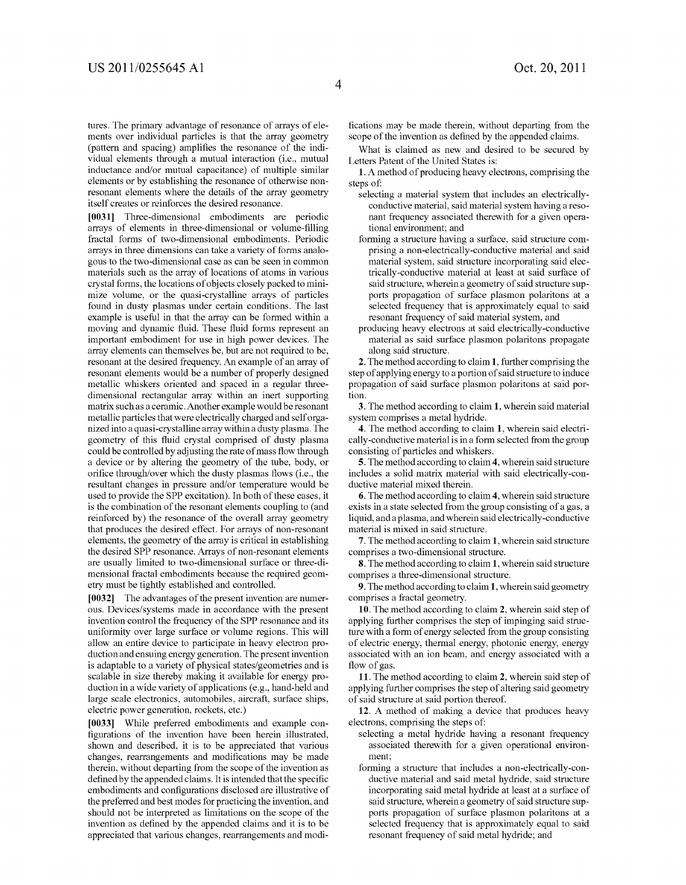tures. The primary advantage of resonance of arrays of elements over individual particles is that the array geometry (pattern and spacing) amplifies the resonance of the individual elements through a mutual interaction (i.e., mutual inductance and/or mutual capacitance) of multiple similar elements or by establishing the resonance of otherwise nonresonant elements where the details of the array geometry itself creates or reinforces the desired resonance.

[0031] Three-dimensional embodiments are periodic arrays of elements in three-dimensional or volume-filling fractal forms of two-dimensional embodiments. Periodic arrays in three dimensions can take a variety of forms analogous to the two-dimensional case as can be seen in common materials such as the array of locations of atoms in various crystal forms, the locations of objects closely packed to minimize volume, or the quasi-crystalline arrays of particles found in dusty plasmas under certain conditions. The last example is useful in that the array can be formed within a moving and dynamic fluid. These fluid forms represent an important embodiment for use in high power devices. The array elements can themselves be, but are not required to be, resonant at the desired frequency. An example of an array of resonant elements would be a number of properly designed metallic whiskers oriented and spaced in a regular threedimensional rectangular array within an inert supporting matrix such as a ceramic. Another example would be resonant metallic particles that were electrically charged and self organized into a quasi-crystalline array within a dusty plasma. The geometry of this fluid crystal comprised of dusty plasma could be controlled by adjusting the rate of mass flow through a device or by altering the geometry of the tube, body, or orifice through/over which the dusty plasmas flows (i.e., the resultant changes in pressure and/or temperature would be used to provide the SPP excitation). In both of these cases, it is the combination of the resonant elements coupling to (and reinforced by) the resonance of the overall array geometry that produces the desired effect. For arrays of non-resonant elements, the geometry of the array is critical in establishing the desired SPP resonance. Arrays of non-resonant elements are usually limited to two-dimensional surface or three-dimensional fractal embodiments because the required geometry must be tightly established and controlled.

[0032] The advantages of the present invention are numerous. Devices/systems made in accordance with the present invention control the frequency of the SPP resonance and its uniformity over large surface or volume regions. This will allow an entire device to participate in heavy electron production and ensuing energy generation. The present invention is adaptable to a variety of physical states/geometries and is scalable in size thereby making it available for energy production in a wide variety of applications (e.g., hand-held and large scale electronics, automobiles, aircraft, surface ships, electric power generation, rockets, etc.)

[0033] While preferred embodiments and example configurations of the invention have been herein illustrated, shown and described, it is to be appreciated that various changes, rearrangements and modifications may be made therein, without departing from the scope of the invention as defined by the appended claims. It is intended that the specific embodiments and configurations disclosed are illustrative of the preferred and best modes for practicing the invention, and should not be interpreted as limitations on the scope of the invention as defined by the appended claims and it is to be appreciated that various changes, rearrangements and modifications may be made therein, without departing from the scope of the invention as defined by the appended claims.

What is claimed as new and desired to be secured by Letters Patent of the United States is:

1. A method of producing heavy electrons, comprising the steps of:

- selecting a material system that includes an electricallyconductive material, said material system having a resonant frequency associated therewith for a given operational environment; and
- forming a structure having a surface, said structure comprising a non-electrically-conductive material and said material system, said structure incorporating said electrically-conductive material at least at said surface of said structure, wherein a geometry of said structure supports propagation of surface plasmon polaritons at a selected frequency that is approximately equal to said resonant frequency of said material system, and
- producing heavy electrons at said electrically-conductive material as said surface plasmon polaritons propagate along said structure.

2. The method according to claim 1, further comprising the step of applying energy to a portion of said structure to induce propagation of said surface plasmon polaritons at said portion.

3. The method according to claim 1, wherein said material system comprises a metal hydride.

4. The method according to claim 1, wherein said electrically-conductive material is in a form selected from the group consisting of particles and whiskers.

5. The method according to claim 4, wherein said structure includes a solid matrix material with said electrically-conductive material mixed therein.

6. The method according to claim 4, wherein said structure exists in a state selected from the group consisting of a gas, a liquid, and a plasma, and wherein said electrically-conductive material is mixed in said structure.

7. The method according to claim 1, wherein said structure comprises a two-dimensional structure.

8. The method according to claim 1, wherein said structure comprises a three-dimensional structure.

9. The method according to claim 1, wherein said geometry comprises a fractal geometry.

10. The method according to claim 2, wherein said step of applying further comprises the step of impinging said structure with a form of energy selected from the group consisting of electric energy, thermal energy, photonic energy, energy associated with an ion beam, and energy associated with a flow of gas.

11. The method according to claim 2, wherein said step of applying further comprises the step of altering said geometry of said structure at said portion thereof.

12. A method of making a device that produces heavy electrons, comprising the steps of:

- selecting a metal hydride having a resonant frequency associated therewith for a given operational environment;
- forming a structure that includes a non-electrically-conductive material and said metal hydride, said structure incorporating said metal hydride at least at a surface of said structure, wherein a geometry of said structure supports propagation of surface plasmon polaritons at a selected frequency that is approximately equal to said resonant frequency of said metal hydride; and